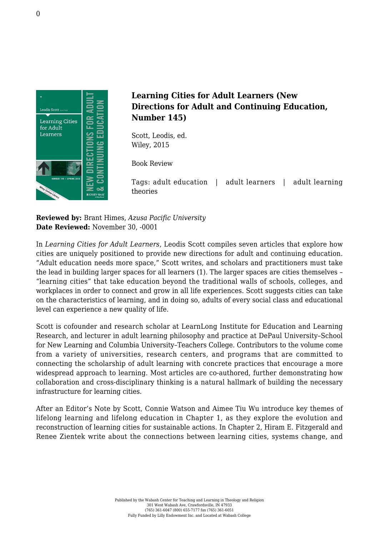

## **Learning Cities for Adult Learners (New Directions for Adult and Continuing Education, Number 145)**

Scott, Leodis, ed. [Wiley, 2015](http://www.wiley.com/WileyCDA/WileyTitle/productCd-1119075270.html)

Book Review

Tags: adult education | adult learners | adult learning theories

**Reviewed by:** Brant Himes, *Azusa Pacific University* **Date Reviewed:** November 30, -0001

In *Learning Cities for Adult Learners*, Leodis Scott compiles seven articles that explore how cities are uniquely positioned to provide new directions for adult and continuing education. "Adult education needs more space," Scott writes, and scholars and practitioners must take the lead in building larger spaces for all learners (1). The larger spaces are cities themselves – "learning cities" that take education beyond the traditional walls of schools, colleges, and workplaces in order to connect and grow in all life experiences. Scott suggests cities can take on the characteristics of learning, and in doing so, adults of every social class and educational level can experience a new quality of life.

Scott is cofounder and research scholar at LearnLong Institute for Education and Learning Research, and lecturer in adult learning philosophy and practice at DePaul University–School for New Learning and Columbia University–Teachers College. Contributors to the volume come from a variety of universities, research centers, and programs that are committed to connecting the scholarship of adult learning with concrete practices that encourage a more widespread approach to learning. Most articles are co-authored, further demonstrating how collaboration and cross-disciplinary thinking is a natural hallmark of building the necessary infrastructure for learning cities.

After an Editor's Note by Scott, Connie Watson and Aimee Tiu Wu introduce key themes of lifelong learning and lifelong education in Chapter 1, as they explore the evolution and reconstruction of learning cities for sustainable actions. In Chapter 2, Hiram E. Fitzgerald and Renee Zientek write about the connections between learning cities, systems change, and